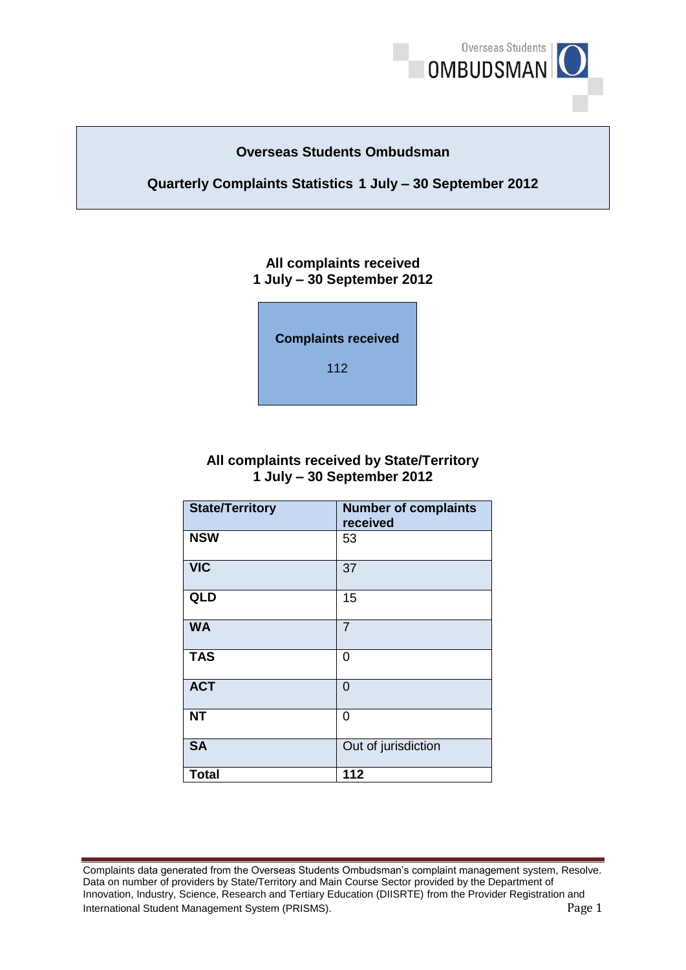

### **Overseas Students Ombudsman**

### **Quarterly Complaints Statistics 1 July – 30 September 2012**

### **1 July – 30 September 2012 All complaints received**



## **1 July – 30 September 2012 All complaints received by State/Territory**

| <b>State/Territory</b> | <b>Number of complaints</b><br>received |
|------------------------|-----------------------------------------|
| <b>NSW</b>             | 53                                      |
| <b>VIC</b>             | 37                                      |
| <b>QLD</b>             | 15                                      |
| <b>WA</b>              | $\overline{7}$                          |
| <b>TAS</b>             | 0                                       |
| <b>ACT</b>             | 0                                       |
| <b>NT</b>              | 0                                       |
| <b>SA</b>              | Out of jurisdiction                     |
| <b>Total</b>           | 112                                     |

Complaints data generated from the Overseas Students Ombudsman's complaint management system, Resolve.<br>Data on number of providers by State/Territory and Main Course Sector provided by the Department of Data on number of providers by State/Territory and Main Course Sector provided by the Department of Innovation, Industry, Science, Research and Tertiary Education (DIISRTE) from the Provider Registration and International Student Management System (PRISMS). Page 1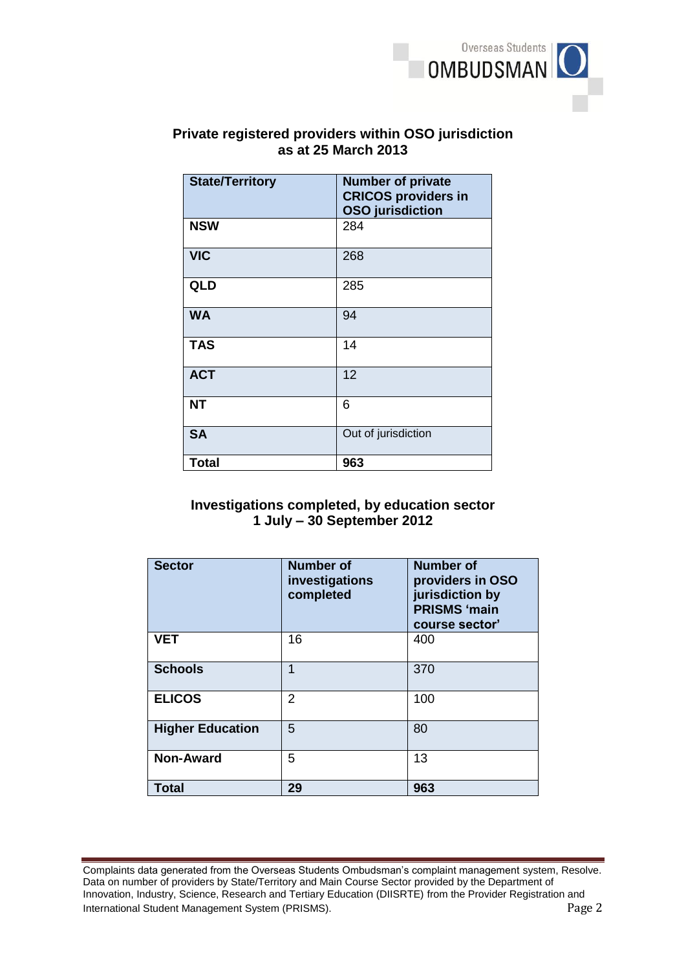

# **Private registered providers within OSO jurisdiction**<br>as at 25 March 2013<br>State/Territory | Number of private **as at 25 March 2013**

| <b>State/Territory</b> | <b>Number of private</b><br><b>CRICOS providers in</b><br><b>OSO</b> jurisdiction |
|------------------------|-----------------------------------------------------------------------------------|
| <b>NSW</b>             | 284                                                                               |
| <b>VIC</b>             | 268                                                                               |
| <b>QLD</b>             | 285                                                                               |
| <b>WA</b>              | 94                                                                                |
| <b>TAS</b>             | 14                                                                                |
| <b>ACT</b>             | 12                                                                                |
| <b>NT</b>              | 6                                                                                 |
| <b>SA</b>              | Out of jurisdiction                                                               |
| <b>Total</b>           | 963                                                                               |

### **1 July – 30 September 2012 Investigations completed, by education sector**

| <b>Sector</b>           | <b>Number of</b><br>investigations<br>completed | <b>Number of</b><br>providers in OSO<br>jurisdiction by<br><b>PRISMS 'main</b><br>course sector' |
|-------------------------|-------------------------------------------------|--------------------------------------------------------------------------------------------------|
| <b>VET</b>              | 16                                              | 400                                                                                              |
| <b>Schools</b>          | 1                                               | 370                                                                                              |
| <b>ELICOS</b>           | 2                                               | 100                                                                                              |
| <b>Higher Education</b> | 5                                               | 80                                                                                               |
| <b>Non-Award</b>        | 5                                               | 13                                                                                               |
| <b>Total</b>            | 29                                              | 963                                                                                              |

Complaints data generated from the Overseas Students Ombudsman's complaint management system, Resolve.<br>Data on number of providers by State/Territory and Main Course Sector provided by the Department of Data on number of providers by State/Territory and Main Course Sector provided by the Department of Innovation, Industry, Science, Research and Tertiary Education (DIISRTE) from the Provider Registration and International Student Management System (PRISMS). Page 2